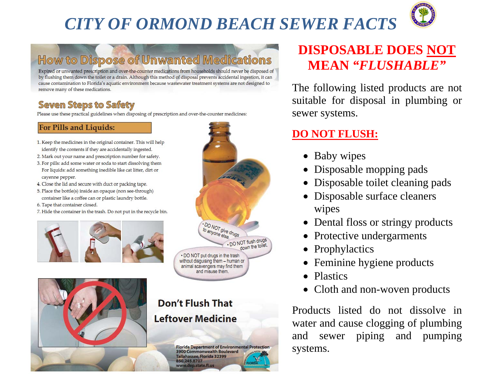# *CITY OF ORMOND BEACH SEWER FACTS*

## How to Dispose of Unwanted Medications

Expired or unwanted prescription and over-the-counter medications from households should never be disposed of by flushing them down the toilet or a drain. Although this method of disposal prevents accidental ingestion, it can cause contamination to Florida's aquatic environment because wastewater treatment systems are not designed to remove many of these medications.

#### **Seven Steps to Safety**

Please use these practical guidelines when disposing of prescription and over-the-counter medicines:

#### For Pills and Liquids:

- 1. Keep the medicines in the original container. This will help identify the contents if they are accidentally ingested.
- 2. Mark out your name and prescription number for safety.
- 3. For pills: add some water or soda to start dissolving them For liquids: add something inedible like cat litter, dirt or cayenne pepper.
- 4. Close the lid and secure with duct or packing tape.
- 5. Place the bottle(s) inside an opaque (non see-through) container like a coffee can or plastic laundry bottle.
- 6. Tape that container closed.
- 7. Hide the container in the trash. Do not put in the recycle bin.







### **Don't Flush That Leftover Medicine**

**Florida Department of Environmental Protection 3900 Commonwealth Boulevard** Tallahassee, Florida 32399 850.245.8707 www.dep.state.fl.us

### **DISPOSABLE DOES NOT MEAN** *"FLUSHABLE"*

The following listed products are not suitable for disposal in plumbing or sewer systems.

### **DO NOT FLUSH:**

- Baby wipes
- Disposable mopping pads
- •Disposable toilet cleaning pads
- Disposable surface cleaners wipes
- Dental floss or stringy products
- Protective undergarments
- Prophylactics
- •Feminine hygiene products
- Plastics
- Cloth and non-woven products

Products listed do not dissolve in water and cause clogging of plumbing and sewer piping and pumping systems.